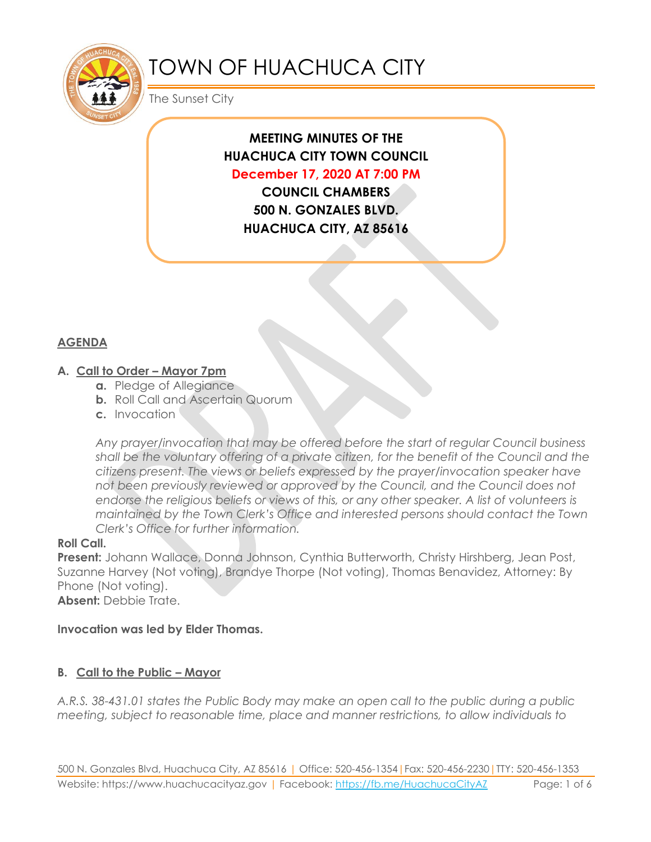

# TOWN OF HUACHUCA CITY

The Sunset City

# **MEETING MINUTES OF THE HUACHUCA CITY TOWN COUNCIL December 17, 2020 AT 7:00 PM**

**COUNCIL CHAMBERS 500 N. GONZALES BLVD. HUACHUCA CITY, AZ 85616**

# **AGENDA**

#### **A. Call to Order – Mayor 7pm**

- **a.** Pledge of Allegiance
- **b.** Roll Call and Ascertain Quorum
- **c.** Invocation

*Any prayer/invocation that may be offered before the start of regular Council business shall be the voluntary offering of a private citizen, for the benefit of the Council and the citizens present. The views or beliefs expressed by the prayer/invocation speaker have not been previously reviewed or approved by the Council, and the Council does not endorse the religious beliefs or views of this, or any other speaker. A list of volunteers is maintained by the Town Clerk's Office and interested persons should contact the Town Clerk's Office for further information.*

#### **Roll Call.**

**Present:** Johann Wallace, Donna Johnson, Cynthia Butterworth, Christy Hirshberg, Jean Post, Suzanne Harvey (Not voting), Brandye Thorpe (Not voting), Thomas Benavidez, Attorney: By Phone (Not voting).

**Absent:** Debbie Trate.

**Invocation was led by Elder Thomas.**

# **B. Call to the Public – Mayor**

*A.R.S. 38-431.01 states the Public Body may make an open call to the public during a public meeting, subject to reasonable time, place and manner restrictions, to allow individuals to*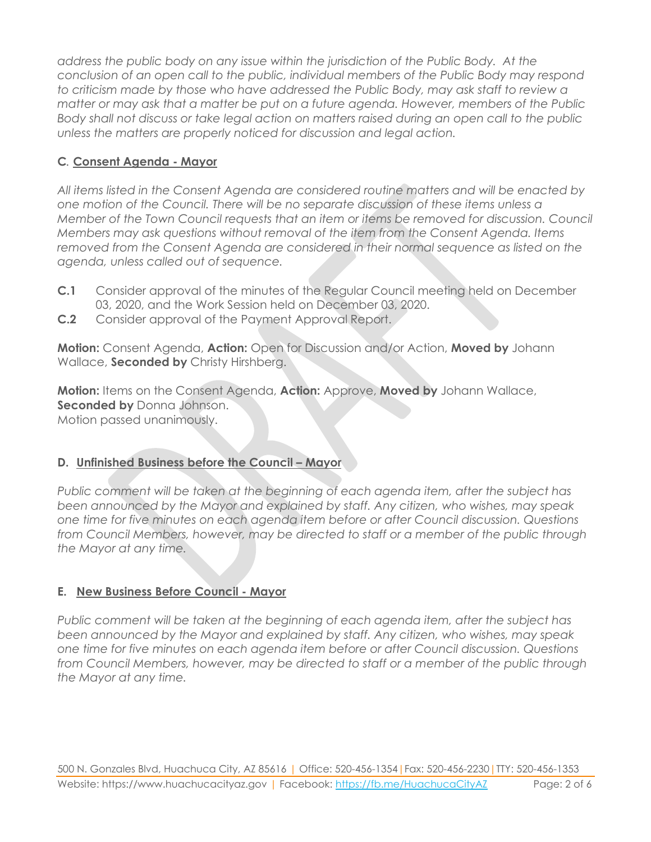*address the public body on any issue within the jurisdiction of the Public Body. At the conclusion of an open call to the public, individual members of the Public Body may respond to criticism made by those who have addressed the Public Body, may ask staff to review a matter or may ask that a matter be put on a future agenda. However, members of the Public Body shall not discuss or take legal action on matters raised during an open call to the public unless the matters are properly noticed for discussion and legal action.*

# **C***.* **Consent Agenda - Mayor**

*All items listed in the Consent Agenda are considered routine matters and will be enacted by one motion of the Council. There will be no separate discussion of these items unless a Member of the Town Council requests that an item or items be removed for discussion. Council Members may ask questions without removal of the item from the Consent Agenda. Items removed from the Consent Agenda are considered in their normal sequence as listed on the agenda, unless called out of sequence.*

- **C.1** Consider approval of the minutes of the Regular Council meeting held on December 03, 2020, and the Work Session held on December 03, 2020.
- **C.2** Consider approval of the Payment Approval Report.

**Motion:** Consent Agenda, **Action:** Open for Discussion and/or Action, **Moved by** Johann Wallace, **Seconded by** Christy Hirshberg.

**Motion:** Items on the Consent Agenda, **Action:** Approve, **Moved by** Johann Wallace, **Seconded by** Donna Johnson. Motion passed unanimously.

# **D.** Unfinished Business before the Council – Mayor

*Public comment will be taken at the beginning of each agenda item, after the subject has been announced by the Mayor and explained by staff. Any citizen, who wishes, may speak one time for five minutes on each agenda item before or after Council discussion. Questions from Council Members, however, may be directed to staff or a member of the public through the Mayor at any time.*

# **E. New Business Before Council - Mayor**

*Public comment will be taken at the beginning of each agenda item, after the subject has been announced by the Mayor and explained by staff. Any citizen, who wishes, may speak one time for five minutes on each agenda item before or after Council discussion. Questions from Council Members, however, may be directed to staff or a member of the public through the Mayor at any time.*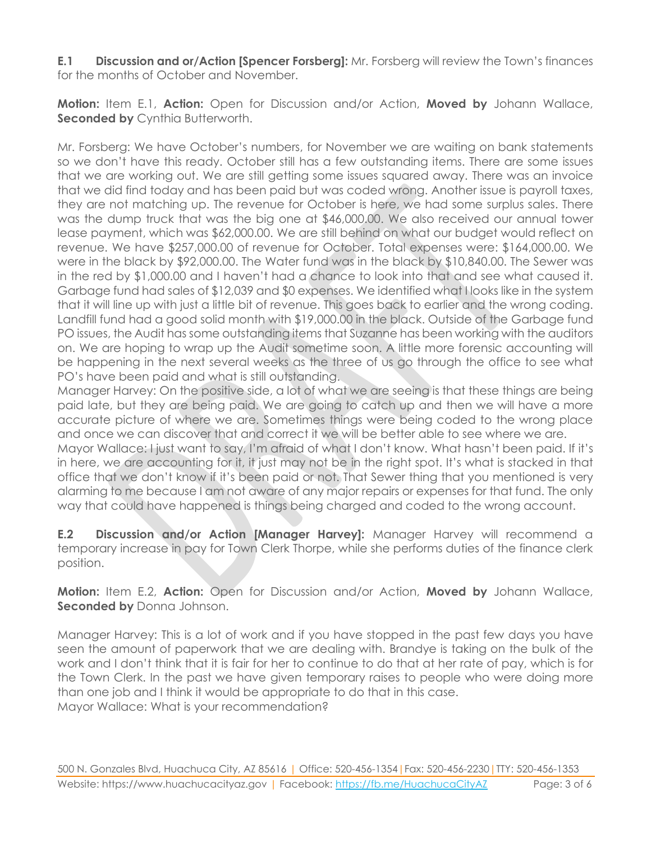**E.1 Discussion and or/Action [Spencer Forsberg]:** Mr. Forsberg will review the Town's finances for the months of October and November.

**Motion:** Item E.1, **Action:** Open for Discussion and/or Action, **Moved by** Johann Wallace, **Seconded by Cynthia Butterworth.** 

Mr. Forsberg: We have October's numbers, for November we are waiting on bank statements so we don't have this ready. October still has a few outstanding items. There are some issues that we are working out. We are still getting some issues squared away. There was an invoice that we did find today and has been paid but was coded wrong. Another issue is payroll taxes, they are not matching up. The revenue for October is here, we had some surplus sales. There was the dump truck that was the big one at \$46,000.00. We also received our annual tower lease payment, which was \$62,000.00. We are still behind on what our budget would reflect on revenue. We have \$257,000.00 of revenue for October. Total expenses were: \$164,000.00. We were in the black by \$92,000.00. The Water fund was in the black by \$10,840.00. The Sewer was in the red by \$1,000.00 and I haven't had a chance to look into that and see what caused it. Garbage fund had sales of \$12,039 and \$0 expenses. We identified what I looks like in the system that it will line up with just a little bit of revenue. This goes back to earlier and the wrong coding. Landfill fund had a good solid month with \$19,000.00 in the black. Outside of the Garbage fund PO issues, the Audit has some outstanding items that Suzanne has been working with the auditors on. We are hoping to wrap up the Audit sometime soon. A little more forensic accounting will be happening in the next several weeks as the three of us go through the office to see what PO's have been paid and what is still outstanding.

Manager Harvey: On the positive side, a lot of what we are seeing is that these things are being paid late, but they are being paid. We are going to catch up and then we will have a more accurate picture of where we are. Sometimes things were being coded to the wrong place and once we can discover that and correct it we will be better able to see where we are.

Mayor Wallace: I just want to say, I'm afraid of what I don't know. What hasn't been paid. If it's in here, we are accounting for it, it just may not be in the right spot. It's what is stacked in that office that we don't know if it's been paid or not. That Sewer thing that you mentioned is very alarming to me because I am not aware of any major repairs or expenses for that fund. The only way that could have happened is things being charged and coded to the wrong account.

**E.2 Discussion and/or Action [Manager Harvey]:** Manager Harvey will recommend a temporary increase in pay for Town Clerk Thorpe, while she performs duties of the finance clerk position.

**Motion:** Item E.2, **Action:** Open for Discussion and/or Action, **Moved by** Johann Wallace, **Seconded by** Donna Johnson.

Manager Harvey: This is a lot of work and if you have stopped in the past few days you have seen the amount of paperwork that we are dealing with. Brandye is taking on the bulk of the work and I don't think that it is fair for her to continue to do that at her rate of pay, which is for the Town Clerk. In the past we have given temporary raises to people who were doing more than one job and I think it would be appropriate to do that in this case. Mayor Wallace: What is your recommendation?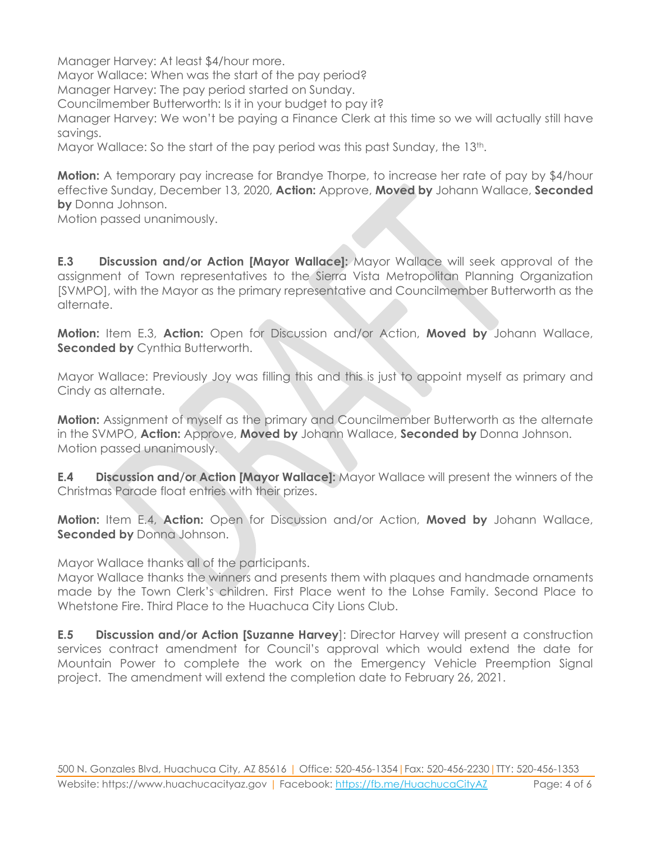Manager Harvey: At least \$4/hour more. Mayor Wallace: When was the start of the pay period? Manager Harvey: The pay period started on Sunday. Councilmember Butterworth: Is it in your budget to pay it? Manager Harvey: We won't be paying a Finance Clerk at this time so we will actually still have savings.

Mayor Wallace: So the start of the pay period was this past Sunday, the 13th.

**Motion:** A temporary pay increase for Brandye Thorpe, to increase her rate of pay by \$4/hour effective Sunday, December 13, 2020, **Action:** Approve, **Moved by** Johann Wallace, **Seconded by** Donna Johnson.

Motion passed unanimously.

**E.3 Discussion and/or Action [Mayor Wallace]:** Mayor Wallace will seek approval of the assignment of Town representatives to the Sierra Vista Metropolitan Planning Organization [SVMPO], with the Mayor as the primary representative and Councilmember Butterworth as the alternate.

**Motion:** Item E.3, **Action:** Open for Discussion and/or Action, **Moved by** Johann Wallace, **Seconded by Cynthia Butterworth.** 

Mayor Wallace: Previously Joy was filling this and this is just to appoint myself as primary and Cindy as alternate.

**Motion:** Assignment of myself as the primary and Councilmember Butterworth as the alternate in the SVMPO, **Action:** Approve, **Moved by** Johann Wallace, **Seconded by** Donna Johnson. Motion passed unanimously.

**E.4 Discussion and/or Action [Mayor Wallace]:** Mayor Wallace will present the winners of the Christmas Parade float entries with their prizes.

**Motion:** Item E.4, **Action:** Open for Discussion and/or Action, **Moved by** Johann Wallace, **Seconded by** Donna Johnson.

Mayor Wallace thanks all of the participants.

Mayor Wallace thanks the winners and presents them with plaques and handmade ornaments made by the Town Clerk's children. First Place went to the Lohse Family. Second Place to Whetstone Fire. Third Place to the Huachuca City Lions Club.

**E.5 Discussion and/or Action [Suzanne Harvey**]: Director Harvey will present a construction services contract amendment for Council's approval which would extend the date for Mountain Power to complete the work on the Emergency Vehicle Preemption Signal project. The amendment will extend the completion date to February 26, 2021.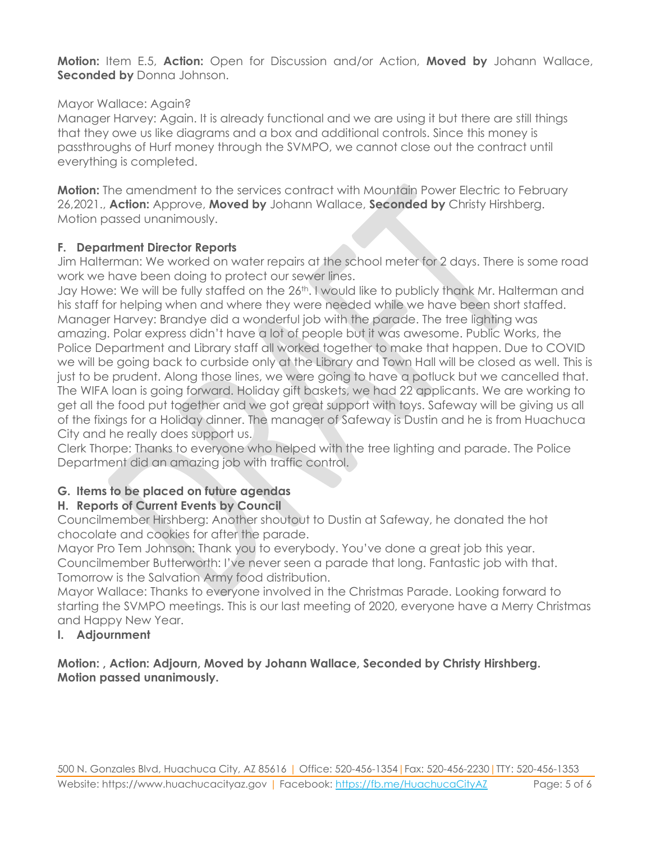**Motion:** Item E.5, **Action:** Open for Discussion and/or Action, **Moved by** Johann Wallace, **Seconded by** Donna Johnson.

#### Mayor Wallace: Again?

Manager Harvey: Again. It is already functional and we are using it but there are still things that they owe us like diagrams and a box and additional controls. Since this money is passthroughs of Hurf money through the SVMPO, we cannot close out the contract until everything is completed.

**Motion:** The amendment to the services contract with Mountain Power Electric to February 26,2021., **Action:** Approve, **Moved by** Johann Wallace, **Seconded by** Christy Hirshberg. Motion passed unanimously.

#### **F. Department Director Reports**

Jim Halterman: We worked on water repairs at the school meter for 2 days. There is some road work we have been doing to protect our sewer lines.

Jay Howe: We will be fully staffed on the 26<sup>th</sup>. I would like to publicly thank Mr. Halterman and his staff for helping when and where they were needed while we have been short staffed. Manager Harvey: Brandye did a wonderful job with the parade. The tree lighting was amazing. Polar express didn't have a lot of people but it was awesome. Public Works, the Police Department and Library staff all worked together to make that happen. Due to COVID we will be going back to curbside only at the Library and Town Hall will be closed as well. This is just to be prudent. Along those lines, we were going to have a potluck but we cancelled that. The WIFA loan is going forward. Holiday gift baskets, we had 22 applicants. We are working to get all the food put together and we got great support with toys. Safeway will be giving us all of the fixings for a Holiday dinner. The manager of Safeway is Dustin and he is from Huachuca City and he really does support us.

Clerk Thorpe: Thanks to everyone who helped with the tree lighting and parade. The Police Department did an amazing job with traffic control.

# **G. Items to be placed on future agendas**

# **H. Reports of Current Events by Council**

Councilmember Hirshberg: Another shoutout to Dustin at Safeway, he donated the hot chocolate and cookies for after the parade.

Mayor Pro Tem Johnson: Thank you to everybody. You've done a great job this year. Councilmember Butterworth: I've never seen a parade that long. Fantastic job with that. Tomorrow is the Salvation Army food distribution.

Mayor Wallace: Thanks to everyone involved in the Christmas Parade. Looking forward to starting the SVMPO meetings. This is our last meeting of 2020, everyone have a Merry Christmas and Happy New Year.

# **I. Adjournment**

#### **Motion: , Action: Adjourn, Moved by Johann Wallace, Seconded by Christy Hirshberg. Motion passed unanimously.**